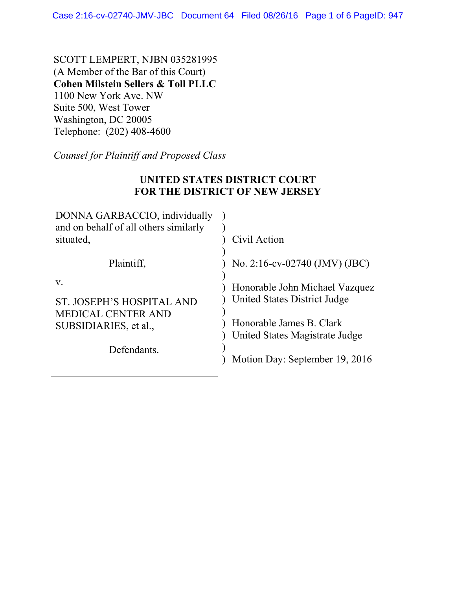SCOTT LEMPERT, NJBN 035281995 (A Member of the Bar of this Court) **Cohen Milstein Sellers & Toll PLLC** 1100 New York Ave. NW Suite 500, West Tower Washington, DC 20005 Telephone: (202) 408-4600

*Counsel for Plaintiff and Proposed Class* 

## **UNITED STATES DISTRICT COURT FOR THE DISTRICT OF NEW JERSEY**

| DONNA GARBACCIO, individually<br>and on behalf of all others similarly<br>situated.                  | Civil Action                                                                                                                 |
|------------------------------------------------------------------------------------------------------|------------------------------------------------------------------------------------------------------------------------------|
| Plaintiff,                                                                                           | No. 2:16-cv-02740 (JMV) (JBC)                                                                                                |
| V.<br>ST. JOSEPH'S HOSPITAL AND<br><b>MEDICAL CENTER AND</b><br>SUBSIDIARIES, et al.,<br>Defendants. | Honorable John Michael Vazquez<br>United States District Judge<br>Honorable James B. Clark<br>United States Magistrate Judge |
|                                                                                                      | Motion Day: September 19, 2016                                                                                               |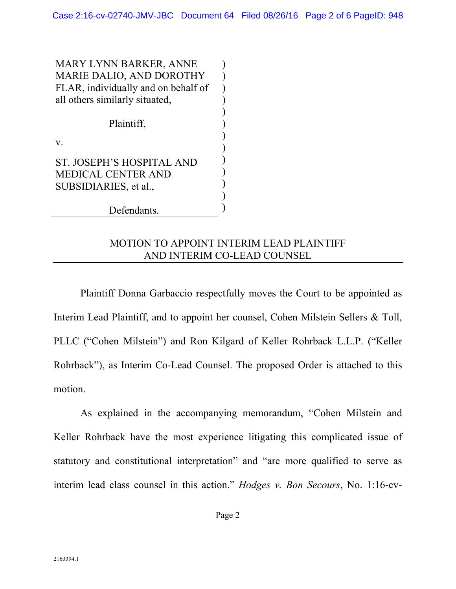) ) ) ) ) ) ) ) ) ) ) ) )

MARY LYNN BARKER, ANNE MARIE DALIO, AND DOROTHY FLAR, individually and on behalf of all others similarly situated,

Plaintiff,

v.

ST. JOSEPH'S HOSPITAL AND MEDICAL CENTER AND SUBSIDIARIES, et al.,

Defendants.

## MOTION TO APPOINT INTERIM LEAD PLAINTIFF AND INTERIM CO-LEAD COUNSEL

 Plaintiff Donna Garbaccio respectfully moves the Court to be appointed as Interim Lead Plaintiff, and to appoint her counsel, Cohen Milstein Sellers & Toll, PLLC ("Cohen Milstein") and Ron Kilgard of Keller Rohrback L.L.P. ("Keller Rohrback"), as Interim Co-Lead Counsel. The proposed Order is attached to this motion.

 As explained in the accompanying memorandum, "Cohen Milstein and Keller Rohrback have the most experience litigating this complicated issue of statutory and constitutional interpretation" and "are more qualified to serve as interim lead class counsel in this action." *Hodges v. Bon Secours*, No. 1:16-cv-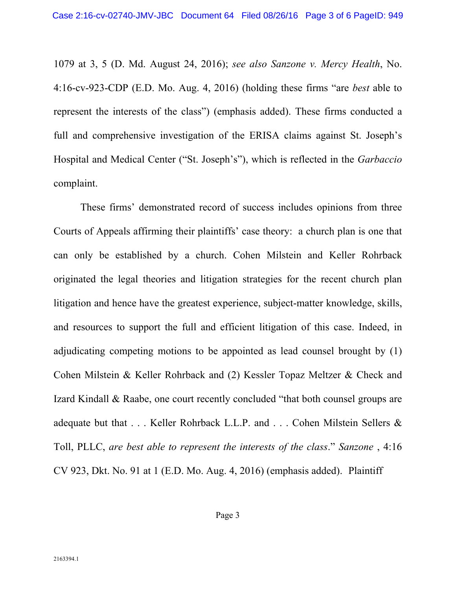1079 at 3, 5 (D. Md. August 24, 2016); *see also Sanzone v. Mercy Health*, No. 4:16-cv-923-CDP (E.D. Mo. Aug. 4, 2016) (holding these firms "are *best* able to represent the interests of the class") (emphasis added). These firms conducted a full and comprehensive investigation of the ERISA claims against St. Joseph's Hospital and Medical Center ("St. Joseph's"), which is reflected in the *Garbaccio* complaint.

 These firms' demonstrated record of success includes opinions from three Courts of Appeals affirming their plaintiffs' case theory: a church plan is one that can only be established by a church. Cohen Milstein and Keller Rohrback originated the legal theories and litigation strategies for the recent church plan litigation and hence have the greatest experience, subject-matter knowledge, skills, and resources to support the full and efficient litigation of this case. Indeed, in adjudicating competing motions to be appointed as lead counsel brought by (1) Cohen Milstein & Keller Rohrback and (2) Kessler Topaz Meltzer & Check and Izard Kindall & Raabe, one court recently concluded "that both counsel groups are adequate but that . . . Keller Rohrback L.L.P. and . . . Cohen Milstein Sellers & Toll, PLLC, *are best able to represent the interests of the class*." *Sanzone* , 4:16 CV 923, Dkt. No. 91 at 1 (E.D. Mo. Aug. 4, 2016) (emphasis added). Plaintiff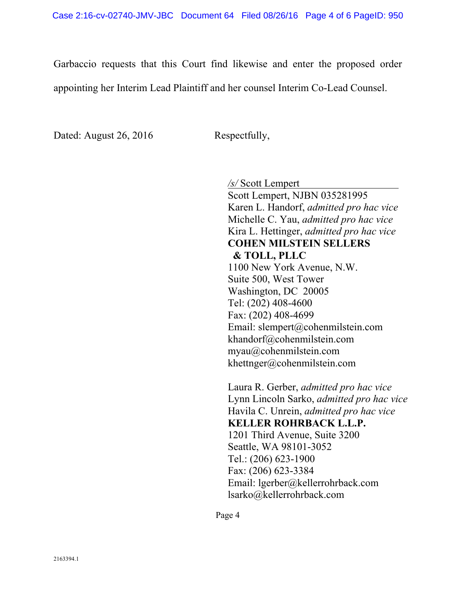Garbaccio requests that this Court find likewise and enter the proposed order appointing her Interim Lead Plaintiff and her counsel Interim Co-Lead Counsel.

Dated: August 26, 2016 Respectfully,

*/s/* Scott Lempert

Scott Lempert, NJBN 035281995 Karen L. Handorf, *admitted pro hac vice* Michelle C. Yau, *admitted pro hac vice* Kira L. Hettinger, *admitted pro hac vice* **COHEN MILSTEIN SELLERS & TOLL, PLLC** 1100 New York Avenue, N.W. Suite 500, West Tower Washington, DC 20005 Tel: (202) 408-4600 Fax: (202) 408-4699 Email: slempert@cohenmilstein.com khandorf@cohenmilstein.com myau@cohenmilstein.com khettnger@cohenmilstein.com

Laura R. Gerber, *admitted pro hac vice* Lynn Lincoln Sarko, *admitted pro hac vice*  Havila C. Unrein, *admitted pro hac vice*  **KELLER ROHRBACK L.L.P.** 1201 Third Avenue, Suite 3200 Seattle, WA 98101-3052 Tel.: (206) 623-1900 Fax: (206) 623-3384 Email: lgerber@kellerrohrback.com lsarko@kellerrohrback.com

Page 4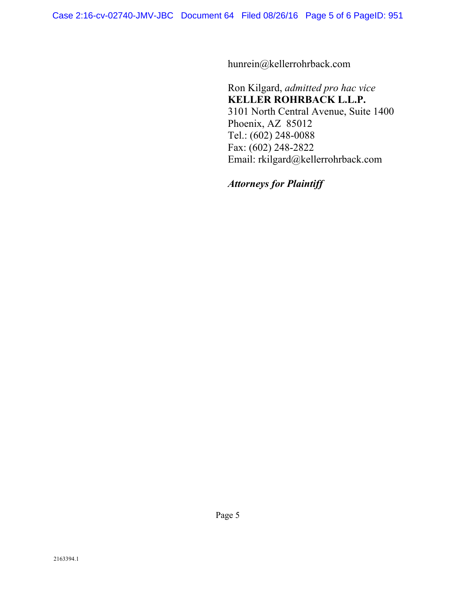hunrein@kellerrohrback.com

Ron Kilgard, *admitted pro hac vice*  **KELLER ROHRBACK L.L.P.**  3101 North Central Avenue, Suite 1400 Phoenix, AZ 85012 Tel.: (602) 248-0088 Fax: (602) 248-2822 Email: rkilgard@kellerrohrback.com

*Attorneys for Plaintiff*